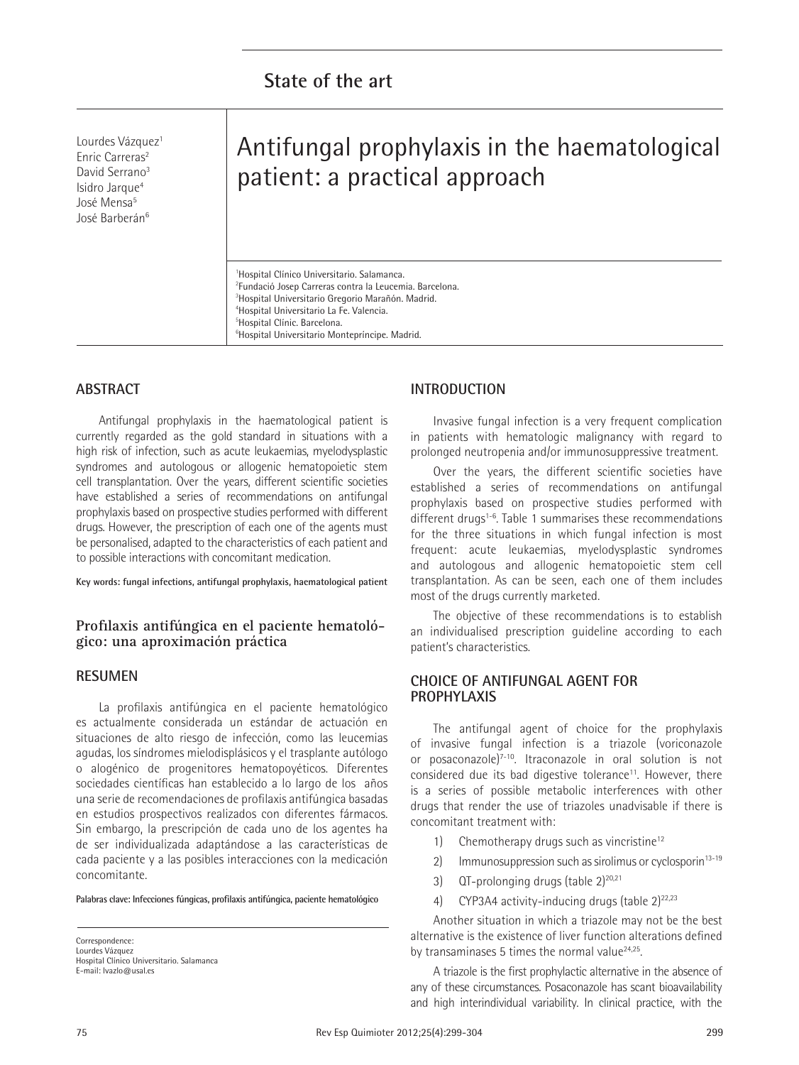Lourdes Vázquez<sup>1</sup> Enric Carreras<sup>2</sup> David Serrano<sup>3</sup> Isidro Jarque<sup>4</sup> José Mensa<sup>5</sup> José Barberán<sup>6</sup>

# Antifungal prophylaxis in the haematological patient: a practical approach

 Hospital Clínico Universitario. Salamanca. Fundació Josep Carreras contra la Leucemia. Barcelona. Hospital Universitario Gregorio Marañón. Madrid. Hospital Universitario La Fe. Valencia. Hospital Clínic. Barcelona. Hospital Universitario Montepríncipe. Madrid.

# **ABSTRACT**

Antifungal prophylaxis in the haematological patient is currently regarded as the gold standard in situations with a high risk of infection, such as acute leukaemias, myelodysplastic syndromes and autologous or allogenic hematopoietic stem cell transplantation. Over the years, different scientific societies have established a series of recommendations on antifungal prophylaxis based on prospective studies performed with different drugs. However, the prescription of each one of the agents must be personalised, adapted to the characteristics of each patient and to possible interactions with concomitant medication.

**Key words: fungal infections, antifungal prophylaxis, haematological patient**

# **Profilaxis antifúngica en el paciente hematológico: una aproximación práctica**

## **RESUMEN**

La profilaxis antifúngica en el paciente hematológico es actualmente considerada un estándar de actuación en situaciones de alto riesgo de infección, como las leucemias agudas, los síndromes mielodisplásicos y el trasplante autólogo o alogénico de progenitores hematopoyéticos. Diferentes sociedades científicas han establecido a lo largo de los años una serie de recomendaciones de profilaxis antifúngica basadas en estudios prospectivos realizados con diferentes fármacos. Sin embargo, la prescripción de cada uno de los agentes ha de ser individualizada adaptándose a las características de cada paciente y a las posibles interacciones con la medicación concomitante.

**Palabras clave: Infecciones fúngicas, profilaxis antifúngica, paciente hematológico**

Correspondence: Lourdes Vázquez Hospital Clínico Universitario. Salamanca E-mail: lvazlo@usal.es

# **INTRODUCTION**

Invasive fungal infection is a very frequent complication in patients with hematologic malignancy with regard to prolonged neutropenia and/or immunosuppressive treatment.

Over the years, the different scientific societies have established a series of recommendations on antifungal prophylaxis based on prospective studies performed with different drugs<sup>1-6</sup>. Table 1 summarises these recommendations for the three situations in which fungal infection is most frequent: acute leukaemias, myelodysplastic syndromes and autologous and allogenic hematopoietic stem cell transplantation. As can be seen, each one of them includes most of the drugs currently marketed.

The objective of these recommendations is to establish an individualised prescription guideline according to each patient's characteristics.

## **CHOICE OF ANTIFUNGAL AGENT FOR PROPHYLAXIS**

The antifungal agent of choice for the prophylaxis of invasive fungal infection is a triazole (voriconazole or posaconazole)7-10. Itraconazole in oral solution is not considered due its bad digestive tolerance<sup>11</sup>. However, there is a series of possible metabolic interferences with other drugs that render the use of triazoles unadvisable if there is concomitant treatment with:

- 1) Chemotherapy drugs such as vincristine<sup>12</sup>
- 2) Immunosuppression such as sirolimus or cyclosporin $13-19$
- 3)  $QT$ -prolonging drugs (table 2)<sup>20,21</sup>
- 4) CYP3A4 activity-inducing drugs (table  $2)^{22,23}$

Another situation in which a triazole may not be the best alternative is the existence of liver function alterations defined by transaminases 5 times the normal value $24,25$ .

A triazole is the first prophylactic alternative in the absence of any of these circumstances. Posaconazole has scant bioavailability and high interindividual variability. In clinical practice, with the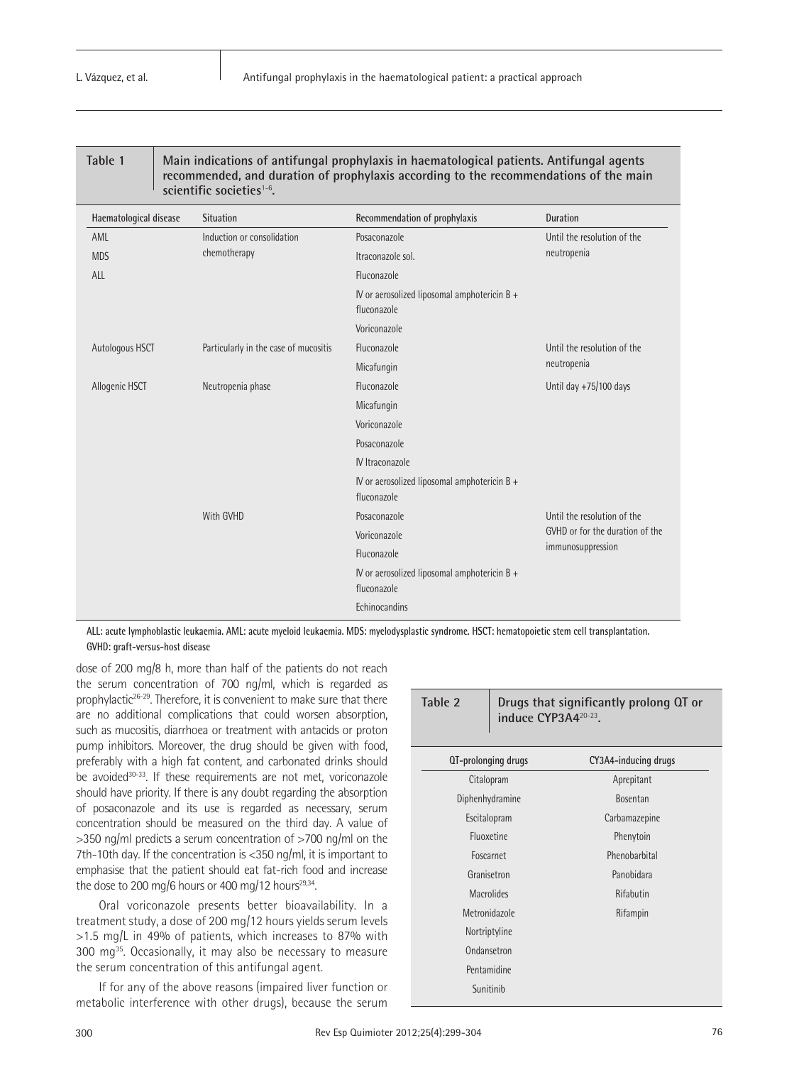| <b>Table</b> |  |
|--------------|--|
|--------------|--|

**Table 1 Main indications of antifungal prophylaxis in haematological patients. Antifungal agents recommended, and duration of prophylaxis according to the recommendations of the main scientific societies**1-6**.**

| Haematological disease | <b>Situation</b>                      | Recommendation of prophylaxis                               | <b>Duration</b>                 |
|------------------------|---------------------------------------|-------------------------------------------------------------|---------------------------------|
| AML                    | Induction or consolidation            | Posaconazole                                                | Until the resolution of the     |
| <b>MDS</b>             | chemotherapy                          | Itraconazole sol.                                           | neutropenia                     |
| ALL                    |                                       | Fluconazole                                                 |                                 |
|                        |                                       | IV or aerosolized liposomal amphotericin B +<br>fluconazole |                                 |
|                        |                                       | Voriconazole                                                |                                 |
| Autologous HSCT        | Particularly in the case of mucositis | Fluconazole                                                 | Until the resolution of the     |
|                        |                                       | Micafungin                                                  | neutropenia                     |
| Allogenic HSCT         | Neutropenia phase                     | Fluconazole                                                 | Until day +75/100 days          |
|                        |                                       | Micafungin                                                  |                                 |
|                        |                                       | Voriconazole                                                |                                 |
|                        |                                       | Posaconazole                                                |                                 |
|                        |                                       | IV Itraconazole                                             |                                 |
|                        |                                       | IV or aerosolized liposomal amphotericin B +<br>fluconazole |                                 |
|                        | With GVHD                             | Posaconazole                                                | Until the resolution of the     |
|                        |                                       | Voriconazole                                                | GVHD or for the duration of the |
|                        |                                       | Fluconazole                                                 | immunosuppression               |
|                        |                                       | IV or aerosolized liposomal amphotericin B +<br>fluconazole |                                 |
|                        |                                       | Echinocandins                                               |                                 |

**ALL: acute lymphoblastic leukaemia. AML: acute myeloid leukaemia. MDS: myelodysplastic syndrome. HSCT: hematopoietic stem cell transplantation. GVHD: graft-versus-host disease**

dose of 200 mg/8 h, more than half of the patients do not reach the serum concentration of 700 ng/ml, which is regarded as prophylactic<sup>26-29</sup>. Therefore, it is convenient to make sure that there are no additional complications that could worsen absorption, such as mucositis, diarrhoea or treatment with antacids or proton pump inhibitors. Moreover, the drug should be given with food, preferably with a high fat content, and carbonated drinks should be avoided<sup>30-33</sup>. If these requirements are not met, voriconazole should have priority. If there is any doubt regarding the absorption of posaconazole and its use is regarded as necessary, serum concentration should be measured on the third day. A value of >350 ng/ml predicts a serum concentration of >700 ng/ml on the 7th-10th day. If the concentration is <350 ng/ml, it is important to emphasise that the patient should eat fat-rich food and increase the dose to 200 mg/6 hours or 400 mg/12 hours<sup>29,34</sup>.

Oral voriconazole presents better bioavailability. In a treatment study, a dose of 200 mg/12 hours yields serum levels >1.5 mg/L in 49% of patients, which increases to 87% with 300 mg35. Occasionally, it may also be necessary to measure the serum concentration of this antifungal agent.

If for any of the above reasons (impaired liver function or metabolic interference with other drugs), because the serum

| Table 2             | Drugs that significantly prolong QT or<br>induce CYP3A4 <sup>20-23</sup> . |                      |  |
|---------------------|----------------------------------------------------------------------------|----------------------|--|
| QT-prolonging drugs |                                                                            | CY3A4-inducing drugs |  |
| Citalopram          |                                                                            | Aprepitant           |  |
| Diphenhydramine     |                                                                            | <b>Bosentan</b>      |  |
| Escitalopram        |                                                                            | Carbamazepine        |  |
| Fluoxetine          |                                                                            | Phenytoin            |  |
| Foscarnet           |                                                                            | Phenobarbital        |  |
| Granisetron         |                                                                            | Panobidara           |  |
| <b>Macrolides</b>   |                                                                            | Rifabutin            |  |
| Metronidazole       |                                                                            | Rifampin             |  |
| Nortriptyline       |                                                                            |                      |  |
| Ondansetron         |                                                                            |                      |  |
| Pentamidine         |                                                                            |                      |  |
| Sunitinib           |                                                                            |                      |  |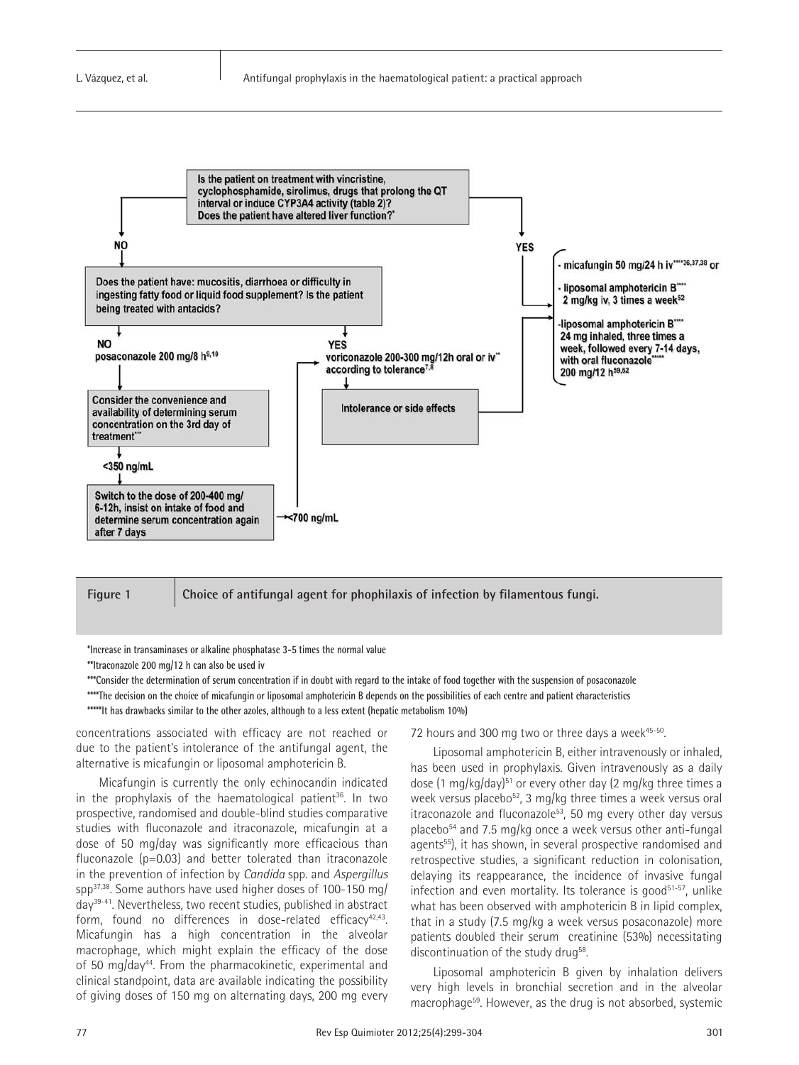



**Figure 1 Choice of antifungal agent for phophilaxis of infection by filamentous fungi.**

**\*Increase in transaminases or alkaline phosphatase 3-5 times the normal value** 

**\*\*\*Consider the determination of serum concentration if in doubt with regard to the intake of food together with the suspension of posaconazole \*\*\*\*The decision on the choice of micafungin or liposomal amphotericin B depends on the possibilities of each centre and patient characteristics**

**\*\*\*\*\*It has drawbacks similar to the other azoles, although to a less extent (hepatic metabolism 10%)**

concentrations associated with efficacy are not reached or due to the patient's intolerance of the antifungal agent, the alternative is micafungin or liposomal amphotericin B.

Micafungin is currently the only echinocandin indicated in the prophylaxis of the haematological patient<sup>36</sup>. In two prospective, randomised and double-blind studies comparative studies with fluconazole and itraconazole, micafungin at a dose of 50 mg/day was significantly more efficacious than fluconazole (p=0.03) and better tolerated than itraconazole in the prevention of infection by *Candida* spp. and *Aspergillus* spp37,38. Some authors have used higher doses of 100-150 mg/ day39-41. Nevertheless, two recent studies, published in abstract form, found no differences in dose-related efficacy $42,43$ . Micafungin has a high concentration in the alveolar macrophage, which might explain the efficacy of the dose of 50 mg/day44. From the pharmacokinetic, experimental and clinical standpoint, data are available indicating the possibility of giving doses of 150 mg on alternating days, 200 mg every

#### 72 hours and 300 mg two or three days a week<sup>45-50</sup>.

Liposomal amphotericin B, either intravenously or inhaled, has been used in prophylaxis. Given intravenously as a daily dose (1 mg/kg/day)<sup>51</sup> or every other day (2 mg/kg three times a week versus placebo<sup>52</sup>, 3 mg/kg three times a week versus oral itraconazole and fluconazole<sup>53</sup>, 50 mg every other day versus placebo<sup>54</sup> and 7.5 mg/kg once a week versus other anti-fungal agents<sup>55</sup>), it has shown, in several prospective randomised and retrospective studies, a significant reduction in colonisation, delaying its reappearance, the incidence of invasive fungal infection and even mortality. Its tolerance is good<sup>51-57</sup>, unlike what has been observed with amphotericin B in lipid complex, that in a study (7.5 mg/kg a week versus posaconazole) more patients doubled their serum creatinine (53%) necessitating discontinuation of the study drug<sup>58</sup>.

Liposomal amphotericin B given by inhalation delivers very high levels in bronchial secretion and in the alveolar macrophage59. However, as the drug is not absorbed, systemic

**<sup>\*\*</sup>Itraconazole 200 mg/12 h can also be used iv**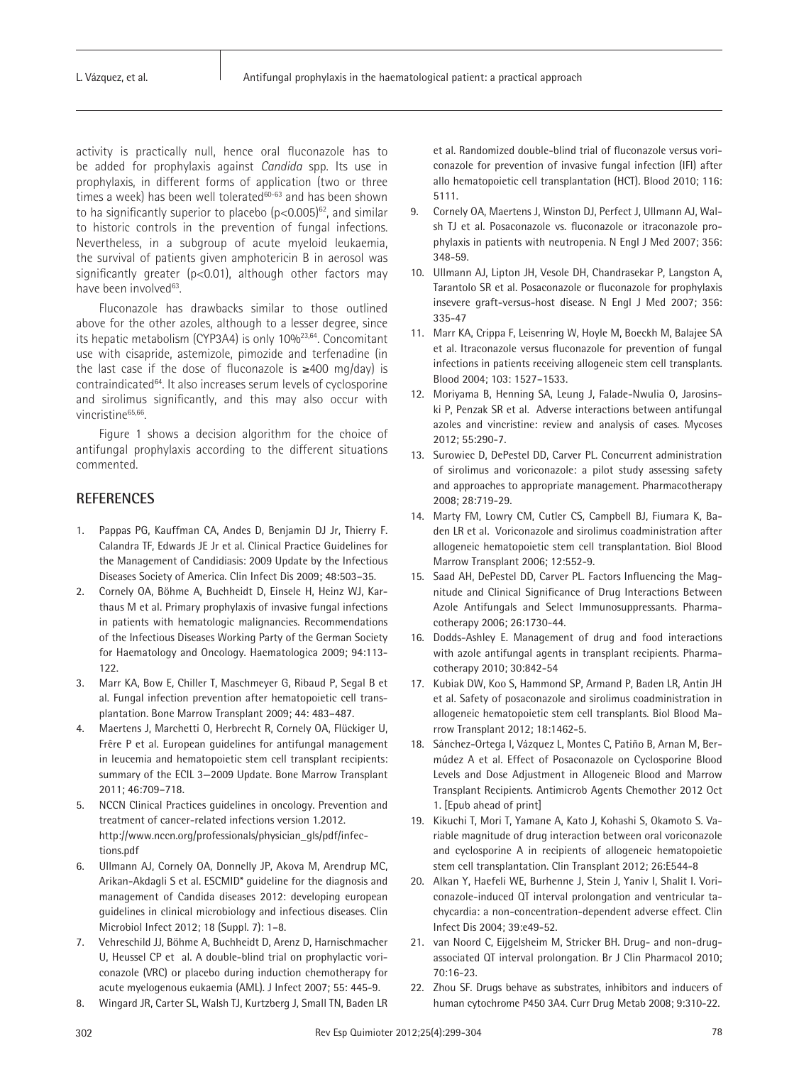activity is practically null, hence oral fluconazole has to be added for prophylaxis against *Candida* spp. Its use in prophylaxis, in different forms of application (two or three times a week) has been well tolerated<sup>60-63</sup> and has been shown to ha significantly superior to placebo  $(p<0.005)^{62}$ , and similar to historic controls in the prevention of fungal infections. Nevertheless, in a subgroup of acute myeloid leukaemia, the survival of patients given amphotericin B in aerosol was significantly greater (p<0.01), although other factors may have been involved<sup>63</sup>.

Fluconazole has drawbacks similar to those outlined above for the other azoles, although to a lesser degree, since its hepatic metabolism (CYP3A4) is only 10%<sup>23,64</sup>. Concomitant use with cisapride, astemizole, pimozide and terfenadine (in the last case if the dose of fluconazole is  $≥400$  mg/day) is contraindicated<sup>64</sup>. It also increases serum levels of cyclosporine and sirolimus significantly, and this may also occur with vincristine<sup>65,66</sup>.

Figure 1 shows a decision algorithm for the choice of antifungal prophylaxis according to the different situations commented.

# **REFERENCES**

- 1. Pappas PG, Kauffman CA, Andes D, Benjamin DJ Jr, Thierry F. Calandra TF, Edwards JE Jr et al. Clinical Practice Guidelines for the Management of Candidiasis: 2009 Update by the Infectious Diseases Society of America. Clin Infect Dis 2009; 48:503–35.
- 2. Cornely OA, Böhme A, Buchheidt D, Einsele H, Heinz WJ, Karthaus M et al. Primary prophylaxis of invasive fungal infections in patients with hematologic malignancies. Recommendations of the Infectious Diseases Working Party of the German Society for Haematology and Oncology. Haematologica 2009; 94:113- 122.
- 3. Marr KA, Bow E, Chiller T, Maschmeyer G, Ribaud P, Segal B et al. Fungal infection prevention after hematopoietic cell transplantation. Bone Marrow Transplant 2009; 44: 483–487.
- 4. Maertens J, Marchetti O, Herbrecht R, Cornely OA, Flückiger U, Frêre P et al. European guidelines for antifungal management in leucemia and hematopoietic stem cell transplant recipients: summary of the ECIL 3—2009 Update. Bone Marrow Transplant 2011; 46:709–718.
- 5. NCCN Clinical Practices guidelines in oncology. Prevention and treatment of cancer-related infections version 1.2012. http://www.nccn.org/professionals/physician\_gls/pdf/infections.pdf
- 6. Ullmann AJ, Cornely OA, Donnelly JP, Akova M, Arendrup MC, Arikan-Akdagli S et al. ESCMID\* guideline for the diagnosis and management of Candida diseases 2012: developing european guidelines in clinical microbiology and infectious diseases. Clin Microbiol Infect 2012; 18 (Suppl. 7): 1–8.
- 7. Vehreschild JJ, Böhme A, Buchheidt D, Arenz D, Harnischmacher U, Heussel CP et al. A double-blind trial on prophylactic voriconazole (VRC) or placebo during induction chemotherapy for acute myelogenous eukaemia (AML). J Infect 2007; 55: 445-9.
- 8. Wingard JR, Carter SL, Walsh TJ, Kurtzberg J, Small TN, Baden LR

et al. Randomized double-blind trial of fluconazole versus voriconazole for prevention of invasive fungal infection (IFI) after allo hematopoietic cell transplantation (HCT). Blood 2010; 116: 5111.

- 9. Cornely OA, Maertens J, Winston DJ, Perfect J, Ullmann AJ, Walsh TJ et al. Posaconazole vs. fluconazole or itraconazole prophylaxis in patients with neutropenia. N Engl J Med 2007; 356: 348-59.
- 10. Ullmann AJ, Lipton JH, Vesole DH, Chandrasekar P, Langston A, Tarantolo SR et al. Posaconazole or fluconazole for prophylaxis insevere graft-versus-host disease. N Engl J Med 2007; 356: 335-47
- 11. Marr KA, Crippa F, Leisenring W, Hoyle M, Boeckh M, Balajee SA et al. Itraconazole versus fluconazole for prevention of fungal infections in patients receiving allogeneic stem cell transplants. Blood 2004; 103: 1527–1533.
- 12. Moriyama B, Henning SA, Leung J, Falade-Nwulia O, Jarosinski P, Penzak SR et al. Adverse interactions between antifungal azoles and vincristine: review and analysis of cases. Mycoses 2012; 55:290-7.
- 13. Surowiec D, DePestel DD, Carver PL. Concurrent administration of sirolimus and voriconazole: a pilot study assessing safety and approaches to appropriate management. Pharmacotherapy 2008; 28:719-29.
- 14. Marty FM, Lowry CM, Cutler CS, Campbell BJ, Fiumara K, Baden LR et al. Voriconazole and sirolimus coadministration after allogeneic hematopoietic stem cell transplantation. Biol Blood Marrow Transplant 2006; 12:552-9.
- 15. Saad AH, DePestel DD, Carver PL. Factors Influencing the Magnitude and Clinical Significance of Drug Interactions Between Azole Antifungals and Select Immunosuppressants. Pharmacotherapy 2006; 26:1730-44.
- 16. Dodds-Ashley E. Management of drug and food interactions with azole antifungal agents in transplant recipients. Pharmacotherapy 2010; 30:842-54
- 17. Kubiak DW, Koo S, Hammond SP, Armand P, Baden LR, Antin JH et al. Safety of posaconazole and sirolimus coadministration in allogeneic hematopoietic stem cell transplants. Biol Blood Marrow Transplant 2012; 18:1462-5.
- 18. Sánchez-Ortega I, Vázquez L, Montes C, Patiño B, Arnan M, Bermúdez A et al. Effect of Posaconazole on Cyclosporine Blood Levels and Dose Adjustment in Allogeneic Blood and Marrow Transplant Recipients. Antimicrob Agents Chemother 2012 Oct 1. [Epub ahead of print]
- 19. Kikuchi T, Mori T, Yamane A, Kato J, Kohashi S, Okamoto S. Variable magnitude of drug interaction between oral voriconazole and cyclosporine A in recipients of allogeneic hematopoietic stem cell transplantation. Clin Transplant 2012; 26:E544-8
- 20. Alkan Y, Haefeli WE, Burhenne J, Stein J, Yaniv I, Shalit I. Voriconazole-induced QT interval prolongation and ventricular tachycardia: a non-concentration-dependent adverse effect. Clin Infect Dis 2004; 39:e49-52.
- 21. van Noord C, Eijgelsheim M, Stricker BH. Drug- and non-drugassociated QT interval prolongation. Br J Clin Pharmacol 2010; 70:16-23.
- 22. Zhou SF. Drugs behave as substrates, inhibitors and inducers of human cytochrome P450 3A4. Curr Drug Metab 2008; 9:310-22.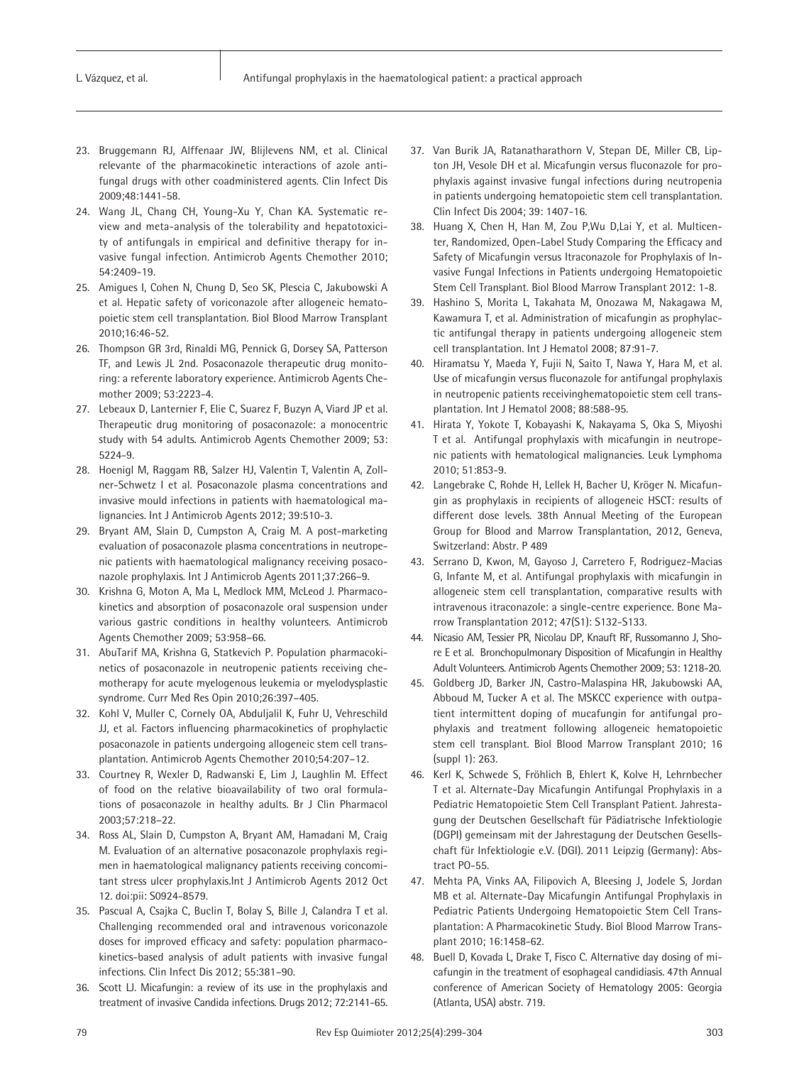- 23. Bruggemann RJ, Alffenaar JW, Blijlevens NM, et al. Clinical relevante of the pharmacokinetic interactions of azole antifungal drugs with other coadministered agents. Clin Infect Dis 2009;48:1441-58.
- 24. Wang JL, Chang CH, Young-Xu Y, Chan KA. Systematic review and meta-analysis of the tolerability and hepatotoxicity of antifungals in empirical and definitive therapy for invasive fungal infection. Antimicrob Agents Chemother 2010; 54:2409-19.
- 25. Amigues I, Cohen N, Chung D, Seo SK, Plescia C, Jakubowski A et al. Hepatic safety of voriconazole after allogeneic hematopoietic stem cell transplantation. Biol Blood Marrow Transplant 2010;16:46-52.
- 26. Thompson GR 3rd, Rinaldi MG, Pennick G, Dorsey SA, Patterson TF, and Lewis JL 2nd. Posaconazole therapeutic drug monitoring: a referente laboratory experience. Antimicrob Agents Chemother 2009; 53:2223-4.
- 27. Lebeaux D, Lanternier F, Elie C, Suarez F, Buzyn A, Viard JP et al. Therapeutic drug monitoring of posaconazole: a monocentric study with 54 adults. Antimicrob Agents Chemother 2009; 53: 5224-9.
- 28. Hoenigl M, Raggam RB, Salzer HJ, Valentin T, Valentin A, Zollner-Schwetz I et al. Posaconazole plasma concentrations and invasive mould infections in patients with haematological malignancies. Int J Antimicrob Agents 2012; 39:510-3.
- 29. Bryant AM, Slain D, Cumpston A, Craig M. A post-marketing evaluation of posaconazole plasma concentrations in neutropenic patients with haematological malignancy receiving posaconazole prophylaxis. Int J Antimicrob Agents 2011;37:266–9.
- 30. Krishna G, Moton A, Ma L, Medlock MM, McLeod J. Pharmacokinetics and absorption of posaconazole oral suspension under various gastric conditions in healthy volunteers. Antimicrob Agents Chemother 2009; 53:958–66.
- 31. AbuTarif MA, Krishna G, Statkevich P. Population pharmacokinetics of posaconazole in neutropenic patients receiving chemotherapy for acute myelogenous leukemia or myelodysplastic syndrome. Curr Med Res Opin 2010;26:397–405.
- 32. Kohl V, Muller C, Cornely OA, Abduljalil K, Fuhr U, Vehreschild JJ, et al. Factors influencing pharmacokinetics of prophylactic posaconazole in patients undergoing allogeneic stem cell transplantation. Antimicrob Agents Chemother 2010;54:207–12.
- 33. Courtney R, Wexler D, Radwanski E, Lim J, Laughlin M. Effect of food on the relative bioavailability of two oral formulations of posaconazole in healthy adults. Br J Clin Pharmacol 2003;57:218–22.
- 34. Ross AL, Slain D, Cumpston A, Bryant AM, Hamadani M, Craig M. Evaluation of an alternative posaconazole prophylaxis regimen in haematological malignancy patients receiving concomitant stress ulcer prophylaxis.Int J Antimicrob Agents 2012 Oct 12. doi:pii: S0924-8579.
- 35. Pascual A, Csajka C, Buclin T, Bolay S, Bille J, Calandra T et al. Challenging recommended oral and intravenous voriconazole doses for improved efficacy and safety: population pharmacokinetics-based analysis of adult patients with invasive fungal infections. Clin Infect Dis 2012; 55:381–90.
- 36. Scott LJ. Micafungin: a review of its use in the prophylaxis and treatment of invasive Candida infections. Drugs 2012; 72:2141-65.
- 37. Van Burik JA, Ratanatharathorn V, Stepan DE, Miller CB, Lipton JH, Vesole DH et al. Micafungin versus fluconazole for prophylaxis against invasive fungal infections during neutropenia in patients undergoing hematopoietic stem cell transplantation. Clin Infect Dis 2004; 39: 1407-16.
- 38. Huang X, Chen H, Han M, Zou P,Wu D,Lai Y, et al. Multicenter, Randomized, Open-Label Study Comparing the Efficacy and Safety of Micafungin versus Itraconazole for Prophylaxis of Invasive Fungal Infections in Patients undergoing Hematopoietic Stem Cell Transplant. Biol Blood Marrow Transplant 2012: 1-8.
- 39. Hashino S, Morita L, Takahata M, Onozawa M, Nakagawa M, Kawamura T, et al. Administration of micafungin as prophylactic antifungal therapy in patients undergoing allogeneic stem cell transplantation. Int J Hematol 2008; 87:91-7.
- 40. Hiramatsu Y, Maeda Y, Fujii N, Saito T, Nawa Y, Hara M, et al. Use of micafungin versus fluconazole for antifungal prophylaxis in neutropenic patients receivinghematopoietic stem cell transplantation. Int J Hematol 2008; 88:588-95.
- 41. Hirata Y, Yokote T, Kobayashi K, Nakayama S, Oka S, Miyoshi T et al. Antifungal prophylaxis with micafungin in neutropenic patients with hematological malignancies. Leuk Lymphoma 2010; 51:853-9.
- 42. Langebrake C, Rohde H, Lellek H, Bacher U, Kröger N. Micafungin as prophylaxis in recipients of allogeneic HSCT: results of different dose levels. 38th Annual Meeting of the European Group for Blood and Marrow Transplantation, 2012, Geneva, Switzerland: Abstr. P 489
- 43. Serrano D, Kwon, M, Gayoso J, Carretero F, Rodriguez-Macias G, Infante M, et al. Antifungal prophylaxis with micafungin in allogeneic stem cell transplantation, comparative results with intravenous itraconazole: a single-centre experience. Bone Marrow Transplantation 2012; 47(S1): S132-S133.
- 44. Nicasio AM, Tessier PR, Nicolau DP, Knauft RF, Russomanno J, Shore E et al. Bronchopulmonary Disposition of Micafungin in Healthy Adult Volunteers. Antimicrob Agents Chemother 2009; 53: 1218-20.
- 45. Goldberg JD, Barker JN, Castro-Malaspina HR, Jakubowski AA, Abboud M, Tucker A et al. The MSKCC experience with outpatient intermittent doping of mucafungin for antifungal prophylaxis and treatment following allogeneic hematopoietic stem cell transplant. Biol Blood Marrow Transplant 2010; 16 (suppl 1): 263.
- 46. Kerl K, Schwede S, Fröhlich B, Ehlert K, Kolve H, Lehrnbecher T et al. Alternate-Day Micafungin Antifungal Prophylaxis in a Pediatric Hematopoietic Stem Cell Transplant Patient. Jahrestagung der Deutschen Gesellschaft für Pädiatrische Infektiologie (DGPI) gemeinsam mit der Jahrestagung der Deutschen Gesellschaft für Infektiologie e.V. (DGI). 2011 Leipzig (Germany): Abstract PO-55.
- 47. Mehta PA, Vinks AA, Filipovich A, Bleesing J, Jodele S, Jordan MB et al. Alternate-Day Micafungin Antifungal Prophylaxis in Pediatric Patients Undergoing Hematopoietic Stem Cell Transplantation: A Pharmacokinetic Study. Biol Blood Marrow Transplant 2010; 16:1458-62.
- 48. Buell D, Kovada L, Drake T, Fisco C. Alternative day dosing of micafungin in the treatment of esophageal candidiasis. 47th Annual conference of American Society of Hematology 2005: Georgia (Atlanta, USA) abstr. 719.